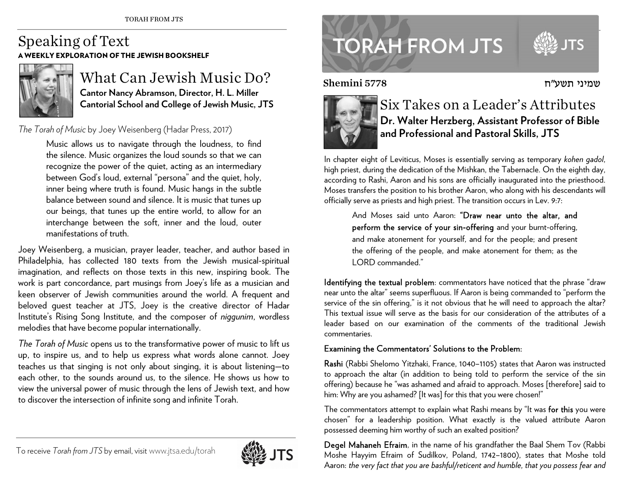### Speaking of Text A WEEKLY EXPLORATION OF THE JEWISH BOOKSHELF



## What Can Jewish Music Do? **Cantor Nancy Abramson, Director, H. L. Miller Cantorial School and College of Jewish Music, JTS**

#### *The Torah of Music* by Joey Weisenberg (Hadar Press, 2017)

Music allows us to navigate through the loudness, to find the silence. Music organizes the loud sounds so that we can recognize the power of the quiet, acting as an intermediary between God's loud, external "persona" and the quiet, holy, inner being where truth is found. Music hangs in the subtle balance between sound and silence. It is music that tunes up our beings, that tunes up the entire world, to allow for an interchange between the soft, inner and the loud, outer manifestations of truth.

Joey Weisenberg, a musician, prayer leader, teacher, and author based in Philadelphia, has collected 180 texts from the Jewish musical-spiritual imagination, and reflects on those texts in this new, inspiring book. The work is part concordance, part musings from Joey's life as a musician and keen observer of Jewish communities around the world. A frequent and beloved guest teacher at JTS, Joey is the creative director of Hadar Institute's Rising Song Institute, and the composer of *niggunim*, wordless melodies that have become popular internationally.

*The Torah of Music* opens us to the transformative power of music to lift us up, to inspire us, and to help us express what words alone cannot. Joey teaches us that singing is not only about singing, it is about listening—to each other, to the sounds around us, to the silence. He shows us how to view the universal power of music through the lens of Jewish text, and how to discover the intersection of infinite song and infinite Torah.

**TORAH FROM JTS** 

#### Shemini 5778



# Six Takes on a Leader's Attributes **Dr. Walter Herzberg, Assistant Professor of Bible and Professional and Pastoral Skills, JTS**

In chapter eight of Leviticus, Moses is essentially serving as temporary *kohen gadol*, high priest, during the dedication of the Mishkan, the Tabernacle. On the eighth day, according to Rashi, Aaron and his sons are officially inaugurated into the priesthood. Moses transfers the position to his brother Aaron, who along with his descendants will officially serve as priests and high priest. The transition occurs in Lev. 9:7:

> And Moses said unto Aaron: "Draw near unto the altar, and perform the service of your sin-offering and your burnt-offering, and make atonement for yourself, and for the people; and present the offering of the people, and make atonement for them; as the LORD commanded."

Identifying the textual problem: commentators have noticed that the phrase "draw near unto the altar" seems superfluous. If Aaron is being commanded to "perform the service of the sin offering," is it not obvious that he will need to approach the altar? This textual issue will serve as the basis for our consideration of the attributes of a leader based on our examination of the comments of the traditional Jewish commentaries.

#### Examining the Commentators' Solutions to the Problem:

Rashi (Rabbi Shelomo Yitzhaki, France, 1040–1105) states that Aaron was instructed to approach the altar (in addition to being told to perform the service of the sin offering) because he "was ashamed and afraid to approach. Moses [therefore] said to him: Why are you ashamed? [It was] for this that you were chosen!"

The commentators attempt to explain what Rashi means by "It was for this you were chosen" for a leadership position. What exactly is the valued attribute Aaron possessed deeming him worthy of such an exalted position?

Degel Mahaneh Efraim, in the name of his grandfather the Baal Shem Tov (Rabbi Moshe Hayyim Efraim of Sudilkov, Poland, 1742–1800), states that Moshe told Aaron: *the very fact that you are bashful/reticent and humble, that you possess fear and* 



שמיני תשע"ח